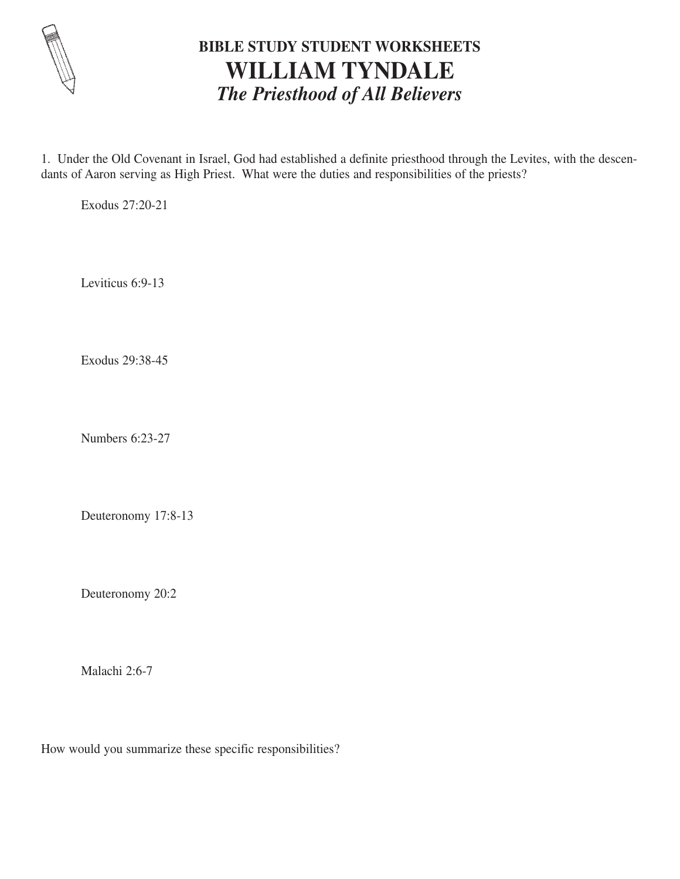

## **BIBLE STUDY STUDENT WORKSHEETS WILLIAM TYNDALE** *The Priesthood of All Believers*

1. Under the Old Covenant in Israel, God had established a definite priesthood through the Levites, with the descendants of Aaron serving as High Priest. What were the duties and responsibilities of the priests?

Exodus 27:20-21

Leviticus 6:9-13

Exodus 29:38-45

Numbers 6:23-27

Deuteronomy 17:8-13

Deuteronomy 20:2

Malachi 2:6-7

How would you summarize these specific responsibilities?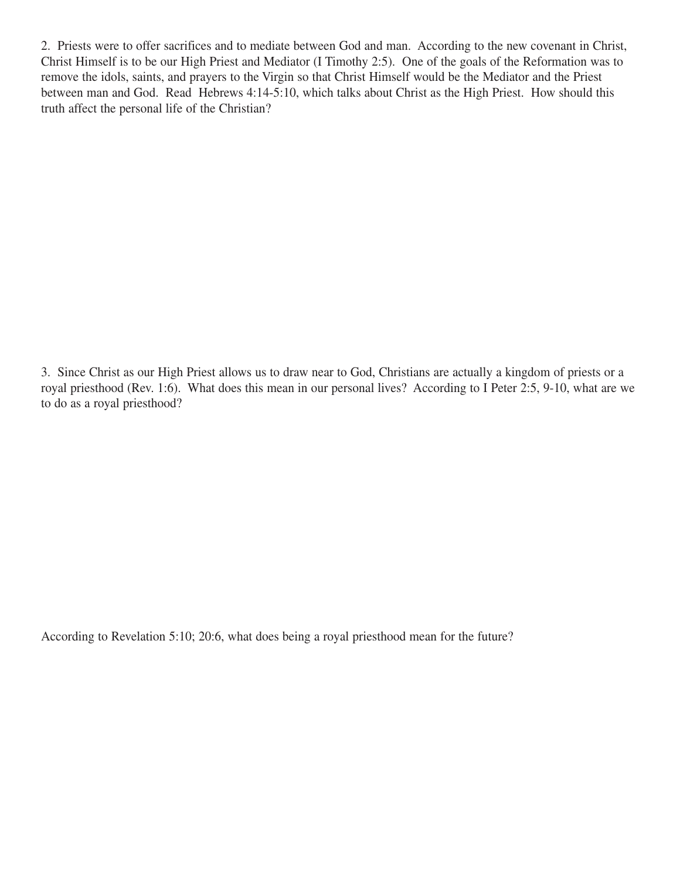2. Priests were to offer sacrifices and to mediate between God and man. According to the new covenant in Christ, Christ Himself is to be our High Priest and Mediator (I Timothy 2:5). One of the goals of the Reformation was to remove the idols, saints, and prayers to the Virgin so that Christ Himself would be the Mediator and the Priest between man and God. Read Hebrews 4:14-5:10, which talks about Christ as the High Priest. How should this truth affect the personal life of the Christian?

3. Since Christ as our High Priest allows us to draw near to God, Christians are actually a kingdom of priests or a royal priesthood (Rev. 1:6). What does this mean in our personal lives? According to I Peter 2:5, 9-10, what are we to do as a royal priesthood?

According to Revelation 5:10; 20:6, what does being a royal priesthood mean for the future?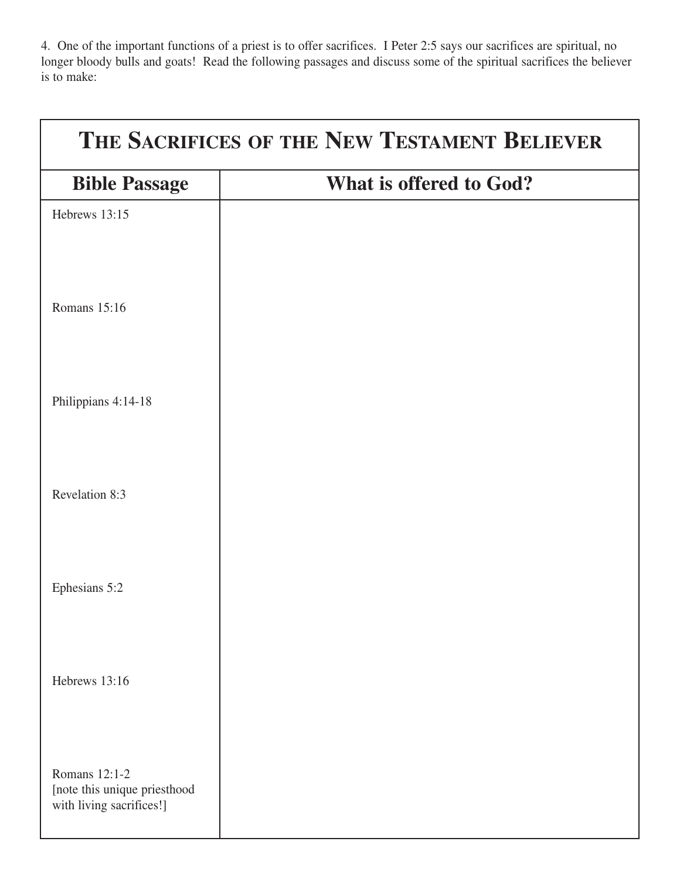4. One of the important functions of a priest is to offer sacrifices. I Peter 2:5 says our sacrifices are spiritual, no longer bloody bulls and goats! Read the following passages and discuss some of the spiritual sacrifices the believer is to make:

| THE SACRIFICES OF THE NEW TESTAMENT BELIEVER                              |                         |
|---------------------------------------------------------------------------|-------------------------|
| <b>Bible Passage</b>                                                      | What is offered to God? |
| Hebrews 13:15                                                             |                         |
| Romans 15:16                                                              |                         |
| Philippians 4:14-18                                                       |                         |
| Revelation 8:3                                                            |                         |
| Ephesians 5:2                                                             |                         |
| Hebrews 13:16                                                             |                         |
| Romans 12:1-2<br>[note this unique priesthood<br>with living sacrifices!] |                         |